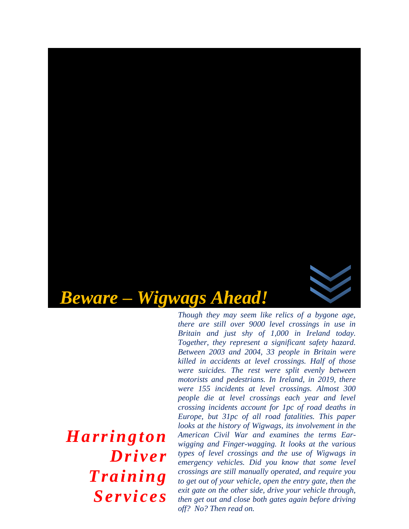

*Harrington* 

*Driver* 

*Training* 

*Services*

*there are still over 9000 level crossings in use in Britain and just shy of 1,000 in Ireland today. Together, they represent a significant safety hazard. Between 2003 and 2004, 33 people in Britain were killed in accidents at level crossings. Half of those were suicides. The rest were split evenly between motorists and pedestrians. In Ireland, in 2019, there were 155 incidents at level crossings. Almost 300 people die at level crossings each year and level crossing incidents account for 1pc of road deaths in Europe, but 31pc of all road fatalities. This paper looks at the history of Wigwags, its involvement in the American Civil War and examines the terms Earwigging and Finger-wagging. It looks at the various types of level crossings and the use of Wigwags in emergency vehicles. Did you know that some level crossings are still manually operated, and require you to get out of your vehicle, open the entry gate, then the exit gate on the other side, drive your vehicle through, then get out and close both gates again before driving off? No? Then read on.*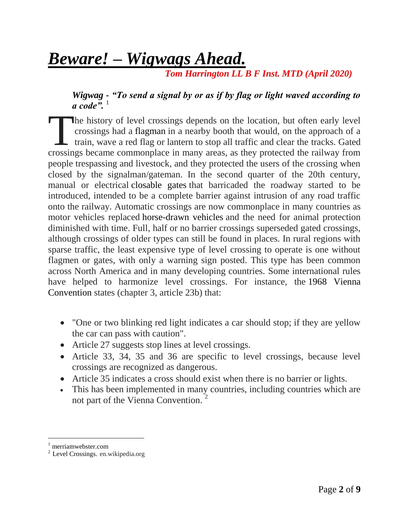# *Beware! – Wigwags Ahead.*

 *Tom Harrington LL B F Inst. MTD (April 2020)*

*Wigwag - "To send a signal by or as if by flag or light waved according to*   $\alpha$  code<sup>".</sup>

he history of level crossings depends on the location, but often early level crossings had a [flagman](https://en.wikipedia.org/wiki/Flagman_(rail)) in a nearby booth that would, on the approach of a  $\mathsf{\mathsf{L}}$  train, wave a red flag or lantern to stop all traffic and clear the tracks. Gated The history of level crossings depends on the location, but often early level crossings had a flagman in a nearby booth that would, on the approach of a train, wave a red flag or lantern to stop all traffic and clear the t people trespassing and livestock, and they protected the users of the crossing when closed by the signalman/gateman. In the second quarter of the 20th century, manual or electrical [closable gates](https://en.wikipedia.org/wiki/Boom_barrier) that barricaded the roadway started to be introduced, intended to be a complete barrier against intrusion of any road traffic onto the railway. Automatic crossings are now commonplace in many countries as motor vehicles replaced [horse-drawn vehicles](https://en.wikipedia.org/wiki/Horse-drawn_vehicle) and the need for animal protection diminished with time. Full, half or no barrier crossings superseded gated crossings, although crossings of older types can still be found in places. In rural regions with sparse traffic, the least expensive type of level crossing to operate is one without flagmen or gates, with only a warning sign posted. This type has been common across North America and in many developing countries. Some international rules have helped to harmonize level crossings. For instance, the [1968 Vienna](https://en.wikipedia.org/wiki/Vienna_Convention_on_Road_Signs_and_Signals)  [Convention](https://en.wikipedia.org/wiki/Vienna_Convention_on_Road_Signs_and_Signals) states (chapter 3, article 23b) that:

- "One or two blinking red light indicates a car should stop; if they are yellow the car can pass with caution".
- Article 27 suggests stop lines at level crossings.
- Article 33, 34, 35 and 36 are specific to level crossings, because level crossings are recognized as dangerous.
- Article 35 indicates a cross should exist when there is no barrier or lights.
- This has been implemented in many countries, including countries which are not part of the Vienna Convention.<sup>2</sup>

l

 $1$  merriamwebster.com

<sup>2</sup> Level Crossings. en.wikipedia.org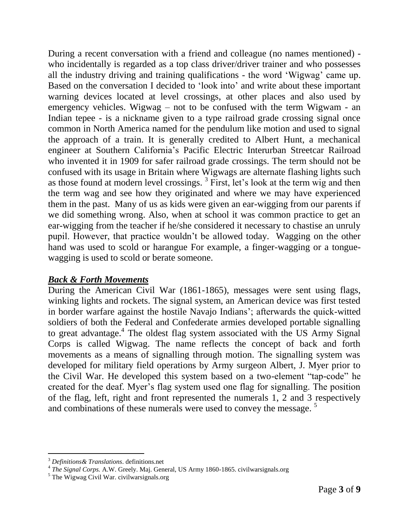During a recent conversation with a friend and colleague (no names mentioned) who incidentally is regarded as a top class driver/driver trainer and who possesses all the industry driving and training qualifications - the word 'Wigwag' came up. Based on the conversation I decided to 'look into' and write about these important warning devices located at level crossings, at other places and also used by emergency vehicles. Wigwag – not to be confused with the term Wigwam - an Indian tepee - is a nickname given to a type railroad grade crossing signal once common in North America named for the pendulum like motion and used to signal the approach of a train. It is generally credited to Albert Hunt, a mechanical engineer at Southern California's Pacific Electric Interurban Streetcar Railroad who invented it in 1909 for safer railroad grade crossings. The term should not be confused with its usage in Britain where Wigwags are alternate flashing lights such as those found at modern level crossings.<sup>3</sup> First, let's look at the term wig and then the term wag and see how they originated and where we may have experienced them in the past. Many of us as kids were given an ear-wigging from our parents if we did something wrong. Also, when at school it was common practice to get an ear-wigging from the teacher if he/she considered it necessary to chastise an unruly pupil. However, that practice wouldn't be allowed today. Wagging on the other hand was used to scold or harangue For example, a finger-wagging or a tonguewagging is used to scold or berate someone.

### *Back & Forth Movements*

During the American Civil War (1861-1865), messages were sent using flags, winking lights and rockets. The signal system, an American device was first tested in border warfare against the hostile Navajo Indians'; afterwards the quick-witted soldiers of both the Federal and Confederate armies developed portable signalling to great advantage.<sup>4</sup> The oldest flag system associated with the US Army Signal Corps is called Wigwag. The name reflects the concept of back and forth movements as a means of signalling through motion. The signalling system was developed for military field operations by Army surgeon Albert, J. Myer prior to the Civil War. He developed this system based on a two-element "tap-code" he created for the deaf. Myer's flag system used one flag for signalling. The position of the flag, left, right and front represented the numerals 1, 2 and 3 respectively and combinations of these numerals were used to convey the message.<sup>5</sup>

 $\overline{a}$ 

<sup>3</sup> *Definitions& Translations*. definitions.net 4 *The Signal Corps.* A.W. Greely. Maj. General, US Army 1860-1865. civilwarsignals.org

 $<sup>5</sup>$  The Wigwag Civil War. civilwarsignals.org</sup>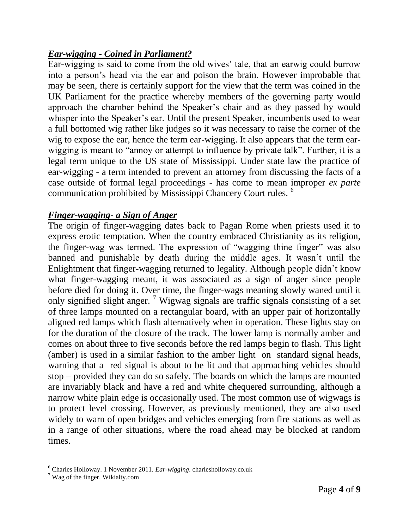## *Ear-wigging - Coined in Parliament?*

Ear-wigging is said to come from the old wives' tale, that an earwig could burrow into a person's head via the ear and poison the brain. However improbable that may be seen, there is certainly support for the view that the term was coined in the UK Parliament for the practice whereby members of the governing party would approach the chamber behind the Speaker's chair and as they passed by would whisper into the Speaker's ear. Until the present Speaker, incumbents used to wear a full bottomed wig rather like judges so it was necessary to raise the corner of the wig to expose the ear, hence the term ear-wigging. It also appears that the term earwigging is meant to "annoy or attempt to influence by private talk". Further, it is a legal term unique to the US state of Mississippi. Under state law the practice of ear-wigging - a term intended to prevent an attorney from discussing the facts of a case outside of formal legal proceedings - has come to mean improper *ex parte* communication prohibited by Mississippi Chancery Court rules. <sup>6</sup>

## *Finger-wagging- a Sign of Anger*

The origin of finger-wagging dates back to Pagan Rome when priests used it to express erotic temptation. When the country embraced Christianity as its religion, the finger-wag was termed. The expression of "wagging thine finger" was also banned and punishable by death during the middle ages. It wasn't until the Enlightment that finger-wagging returned to legality. Although people didn't know what finger-wagging meant, it was associated as a sign of anger since people before died for doing it. Over time, the finger-wags meaning slowly waned until it only signified slight anger. <sup>7</sup> Wigwag signals are traffic signals consisting of a set of three lamps mounted on a rectangular board, with an upper pair of horizontally aligned red lamps which flash alternatively when in operation. These lights stay on for the duration of the closure of the track. The lower lamp is normally amber and comes on about three to five seconds before the red lamps begin to flash. This light (amber) is used in a similar fashion to the amber light on standard signal heads, warning that a red signal is about to be lit and that approaching vehicles should stop – provided they can do so safely. The boards on which the lamps are mounted are invariably black and have a red and white chequered surrounding, although a narrow white plain edge is occasionally used. The most common use of wigwags is to protect level crossing. However, as previously mentioned, they are also used widely to warn of open bridges and vehicles emerging from fire stations as well as in a range of other situations, where the road ahead may be blocked at random times.

l

<sup>6</sup> Charles Holloway. 1 November 2011*. Ear-wigging*. charlesholloway.co.uk

 $<sup>7</sup>$  Wag of the finger. Wikialty.com</sup>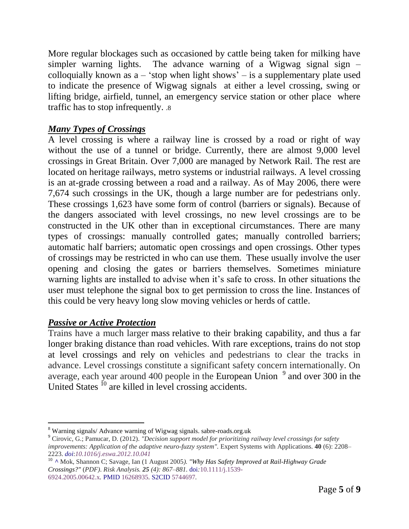More regular blockages such as occasioned by cattle being taken for milking have simpler warning lights. The advance warning of a Wigwag signal sign  $$ colloquially known as  $a - 'stop$  when light shows' – is a supplementary plate used to indicate the presence of Wigwag signals at either a level crossing, swing or lifting bridge, airfield, tunnel, an emergency service station or other place where traffic has to stop infrequently. .8

# *Many Types of Crossings*

A level crossing is where a railway line is crossed by a road or right of way without the use of a tunnel or bridge. Currently, there are almost 9,000 level crossings in Great Britain. Over 7,000 are managed by Network Rail. The rest are located on heritage railways, metro systems or industrial railways. A level crossing is an at-grade crossing between a road and a railway. As of May 2006, there were 7,674 such crossings in the UK, though a large number are for pedestrians only. These crossings 1,623 have some form of control (barriers or signals). Because of the dangers associated with level crossings, no new level crossings are to be constructed in the UK other than in exceptional circumstances. There are many types of crossings: manually controlled gates; manually controlled barriers; automatic half barriers; automatic open crossings and open crossings. Other types of crossings may be restricted in who can use them. These usually involve the user opening and closing the gates or barriers themselves. Sometimes miniature warning lights are installed to advise when it's safe to cross. In other situations the user must telephone the signal box to get permission to cross the line. Instances of this could be very heavy long slow moving vehicles or herds of cattle.

## *Passive or Active Protection*

Trains have a much larger [mass](https://en.wikipedia.org/wiki/Mass) relative to their braking capability, and thus a far longer [braking distance](https://en.wikipedia.org/wiki/Braking_distance) than road vehicles. With rare exceptions, trains do not stop at level crossings and rely on vehicles and pedestrians to clear the tracks in advance. Level crossings constitute a significant safety concern internationally. On average, each year around 400 people in the [European Union](https://en.wikipedia.org/wiki/European_Union)  $9^{\circ}$  and over 300 in the United States <sup>10</sup> are killed in level crossing accidents.

 $\overline{a}$ <sup>8</sup> Warning signals/ Advance warning of Wigwag signals. sabre-roads.org.uk

<sup>9</sup> Cirovic, G.; Pamucar, D. (2012). *"Decision support model for prioritizing railway level crossings for safety improvements: Application of the adaptive neuro-fuzzy system".* Expert Systems with Applications. **40** (6): 2208– 2223. *[doi](https://en.wikipedia.org/wiki/Doi_(identifier))*:*[10.1016/j.eswa.2012.10.041](https://doi.org/10.1016%2Fj.eswa.2012.10.041)*

<sup>10</sup> *[^](https://en.wikipedia.org/wiki/Level_crossing#cite_ref-5)* Mok, Shannon C; Savage, Ian (1 August 2005*). ["Why Has Safety Improved at Rail-Highway Grade](http://ageconsearch.umn.edu/record/208237/files/2004_ImproveSafety_paper.pdf)  [Crossings?"](http://ageconsearch.umn.edu/record/208237/files/2004_ImproveSafety_paper.pdf)* (*PDF)*. *Risk Analysis. 25 (4): 867–881.* [doi](https://en.wikipedia.org/wiki/Doi_(identifier))*:*[10.1111/j.1539-](https://doi.org/10.1111%2Fj.1539-6924.2005.00642.x) [6924.2005.00642.x](https://doi.org/10.1111%2Fj.1539-6924.2005.00642.x)*.* [PMID](https://en.wikipedia.org/wiki/PMID_(identifier)) [16268935](https://pubmed.ncbi.nlm.nih.gov/16268935)*.* [S2CID](https://en.wikipedia.org/wiki/S2CID_(identifier)) [5744697](https://api.semanticscholar.org/CorpusID:5744697)*.*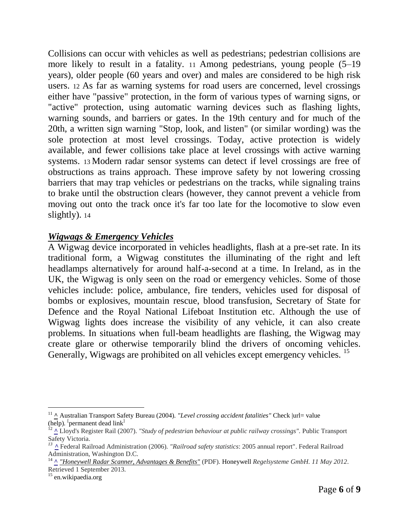Collisions can occur with vehicles as well as pedestrians; pedestrian collisions are more likely to result in a fatality. 11 Among pedestrians, young people (5–19 years), older people (60 years and over) and males are considered to be high risk users. 12 As far as warning systems for road users are concerned, level crossings either have "passive" protection, in the form of various types of warning signs, or ["active"](https://en.wikipedia.org/wiki/Grade_crossing_signals) protection, using automatic warning devices such as flashing lights, warning sounds, and barriers or gates. In the 19th century and for much of the 20th, a written sign warning "Stop, look, and listen" (or similar wording) was the sole protection at most level crossings. Today, active protection is widely available, and fewer collisions take place at level crossings with active warning systems. 13 Modern radar sensor systems can detect if level crossings are free of obstructions as trains approach. These improve safety by not lowering crossing barriers that may trap vehicles or pedestrians on the tracks, while signaling trains to brake until the obstruction clears (however, they cannot prevent a vehicle from moving out onto the track once it's far too late for the locomotive to slow even slightly). 14

#### *Wigwags & Emergency Vehicles*

A Wigwag device incorporated in vehicles headlights, flash at a pre-set rate. In its traditional form, a Wigwag constitutes the illuminating of the right and left headlamps alternatively for around half-a-second at a time. In Ireland, as in the UK, the Wigwag is only seen on the road or emergency vehicles. Some of those vehicles include: police, ambulance, fire tenders, vehicles used for disposal of bombs or explosives, mountain rescue, blood transfusion, Secretary of State for Defence and the Royal National Lifeboat Institution etc. Although the use of Wigwag lights does increase the visibility of any vehicle, it can also create problems. In situations when full-beam headlights are flashing, the Wigwag may create glare or otherwise temporarily blind the drivers of oncoming vehicles. Generally, Wigwags are prohibited on all vehicles except emergency vehicles.<sup>15</sup>

 $\overline{a}$ 

<sup>&</sup>lt;sup>11</sup> [^](https://en.wikipedia.org/wiki/Level_crossing#cite_ref-6) Australian Transport Safety Bureau (2004). *["Level crossing accident fatalities"](http://www/atsb.gov.au/publications/2004/lev_crossfat.aspx)* Check |url= value [\(help\)](https://en.wikipedia.org/wiki/Help:CS1_errors#bad_url)*.* [ [permanent dead link](https://en.wikipedia.org/wiki/Wikipedia:Link_rot)]

<sup>&</sup>lt;sup>12</sup> [^](https://en.wikipedia.org/wiki/Level_crossing#cite_ref-7) Lloyd's Register Rail (2007). *"Study of pedestrian behaviour at public railway crossings"*. Public Transport Safety Victoria.

*<sup>13</sup> [^](https://en.wikipedia.org/wiki/Level_crossing#cite_ref-8)* Federal Railroad Administration (2006). *"Railroad safety statistics*: 2005 annual report". Federal Railroad Administration, Washington D.C.

<sup>14</sup> **[^](https://en.wikipedia.org/wiki/Level_crossing#cite_ref-9)** *["Honeywell Radar Scanner, Advantages & Benefits"](http://honeywell.com/sites/aero-regelsysteme/Produktes/Documents/RS_e_40702.pdf)* (PDF)*.* [Honeywell](https://en.wikipedia.org/wiki/Honeywell) *Regelsysteme GmbH. 11 May 2012*. Retrieved 1 September 2013*.*

<sup>&</sup>lt;sup>15</sup> en.wikipaedia.org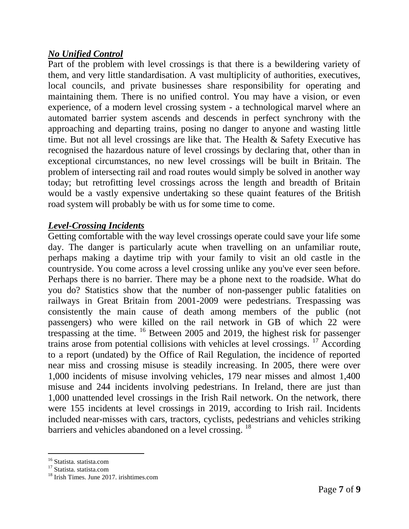### *No Unified Control*

Part of the problem with level crossings is that there is a bewildering variety of them, and very little standardisation. A vast multiplicity of authorities, executives, local councils, and private businesses share responsibility for operating and maintaining them. There is no unified control. You may have a vision, or even experience, of a modern level crossing system - a technological marvel where an automated barrier system ascends and descends in perfect synchrony with the approaching and departing trains, posing no danger to anyone and wasting little time. But not all level crossings are like that. The Health & Safety Executive has recognised the hazardous nature of level crossings by declaring that, other than in exceptional circumstances, no new level crossings will be built in Britain. The problem of intersecting rail and road routes would simply be solved in another way today; but retrofitting level crossings across the length and breadth of Britain would be a vastly expensive undertaking so these quaint features of the British road system will probably be with us for some time to come.

### *Level-Crossing Incidents*

Getting comfortable with the way level crossings operate could save your life some day. The danger is particularly acute when travelling on an unfamiliar route, perhaps making a daytime trip with your family to visit an old castle in the countryside. You come across a level crossing unlike any you've ever seen before. Perhaps there is no barrier. There may be a phone next to the roadside. What do you do? Statistics show that the number of non-passenger public fatalities on railways in Great Britain from 2001-2009 were pedestrians. Trespassing was consistently the main cause of death among members of the public (not passengers) who were killed on the rail network in GB of which 22 were trespassing at the time. <sup>16</sup> Between 2005 and 2019, the highest risk for passenger trains arose from potential collisions with vehicles at level crossings. <sup>17</sup> According to a report (undated) by the Office of Rail Regulation, the incidence of reported near miss and crossing misuse is steadily increasing. In 2005, there were over 1,000 incidents of misuse involving vehicles, 179 near misses and almost 1,400 misuse and 244 incidents involving pedestrians. In Ireland, there are just than 1,000 unattended level crossings in the Irish Rail network. On the network, there were 155 incidents at level crossings in 2019, according to Irish rail. Incidents included near-misses with cars, tractors, cyclists, pedestrians and vehicles striking barriers and vehicles abandoned on a level crossing. <sup>18</sup>

 $\overline{a}$ 

<sup>&</sup>lt;sup>16</sup> Statista. statista.com

<sup>&</sup>lt;sup>17</sup> Statista. statista.com

<sup>&</sup>lt;sup>18</sup> Irish Times. June 2017. irishtimes.com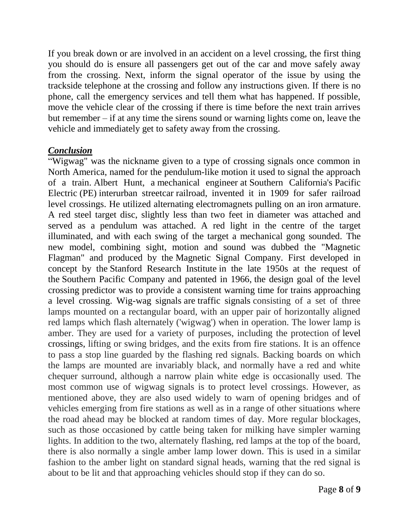If you [break down](https://www.rac.co.uk/breakdown-cover) or are involved in an accident on a level crossing, the first thing you should do is ensure all passengers get out of the car and move safely away from the crossing. Next, inform the signal operator of the issue by using the trackside telephone at the crossing and follow any instructions given. If there is no phone, call the emergency services and tell them what has happened. If possible, move the vehicle clear of the crossing if there is time before the next train arrives but remember – if at any time the sirens sound or warning lights come on, leave the vehicle and immediately get to safety away from the crossing.

#### *Conclusion*

["Wigwag"](https://www.wikiwand.com/en/Wigwag_(railroad)) was the nickname given to a type of crossing signals once common in North America, named for the [pendulum-](https://www.wikiwand.com/en/Pendulum)like motion it used to signal the approach of a train. [Albert](https://www.wikiwand.com/en/Albert_Hunt) Hunt, a [mechanical](https://www.wikiwand.com/en/Mechanical_engineer) engineer at Southern [California'](https://www.wikiwand.com/en/Southern_California)s [Pacific](https://www.wikiwand.com/en/Pacific_Electric) [Electric](https://www.wikiwand.com/en/Pacific_Electric) (PE) [interurban](https://www.wikiwand.com/en/Interurban_streetcar) streetcar railroad, invented it in 1909 for safer railroad level crossings. He utilized alternating [electromagnets](https://www.wikiwand.com/en/Electromagnet) pulling on an [iron](https://www.wikiwand.com/en/Iron) [armature.](https://www.wikiwand.com/en/Armature_(electrical_engineering)) A red steel target disc, slightly less than two feet in diameter was attached and served as a pendulum was attached. A red light in the centre of the target illuminated, and with each swing of the target a mechanical gong sounded. The new model, combining sight, motion and sound was dubbed the "Magnetic Flagman" and produced by the Magnetic Signal [Company.](https://www.wikiwand.com/en/Magnetic_Signal_Company) First developed in concept by the Stanford [Research](https://www.wikiwand.com/en/SRI_International) Institute in the late 1950s at the request of the Southern Pacific [Company](https://www.wikiwand.com/en/Southern_Pacific_Company) and patented in 1966, the design goal of the level crossing predictor was to provide a consistent warning time for trains approaching a level crossing. Wig-wag signals are [traffic signals](https://www.sabre-roads.org.uk/wiki/index.php?title=Traffic_signals) consisting of a set of three lamps mounted on a rectangular board, with an upper pair of horizontally aligned red lamps which flash alternately ('wigwag') when in operation. The lower lamp is amber. They are used for a variety of purposes, including the protection of [level](https://www.sabre-roads.org.uk/wiki/index.php?title=Level_crossing)  [crossings,](https://www.sabre-roads.org.uk/wiki/index.php?title=Level_crossing) lifting or swing bridges, and the exits from fire stations. It is an offence to pass a stop line guarded by the flashing red signals. Backing boards on which the lamps are mounted are invariably black, and normally have a red and white chequer surround, although a narrow plain white edge is occasionally used. The most common use of wigwag signals is to protect level crossings. However, as mentioned above, they are also used widely to warn of opening bridges and of vehicles emerging from fire stations as well as in a range of other situations where the road ahead may be blocked at random times of day. More regular blockages, such as those occasioned by cattle being taken for milking have simpler warning lights. In addition to the two, alternately flashing, red lamps at the top of the board, there is also normally a single amber lamp lower down. This is used in a similar fashion to the amber light on standard signal heads, warning that the red signal is about to be lit and that approaching vehicles should stop if they can do so.